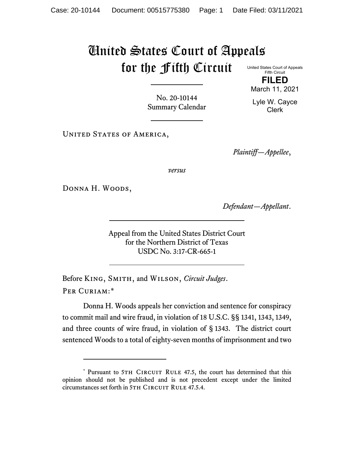## United States Court of Appeals for the Fifth Circuit

United States Court of Appeals Fifth Circuit **FILED**

March 11, 2021

No. 20-10144 Summary Calendar

Lyle W. Cayce Clerk

UNITED STATES OF AMERICA,

*Plaintiff—Appellee*,

*versus*

DONNA H. WOODS,

*Defendant—Appellant*.

Appeal from the United States District Court for the Northern District of Texas USDC No. 3:17-CR-665-1

Before King, Smith, and Wilson, *Circuit Judges*. Per Curiam:[\\*](#page-0-0)

Donna H. Woods appeals her conviction and sentence for conspiracy to commit mail and wire fraud, in violation of 18 U.S.C. §§ 1341, 1343, 1349, and three counts of wire fraud, in violation of § 1343. The district court sentenced Woods to a total of eighty-seven months of imprisonment and two

<span id="page-0-0"></span><sup>\*</sup> Pursuant to 5TH CIRCUIT RULE 47.5, the court has determined that this opinion should not be published and is not precedent except under the limited circumstances set forth in 5TH CIRCUIT RULE 47.5.4.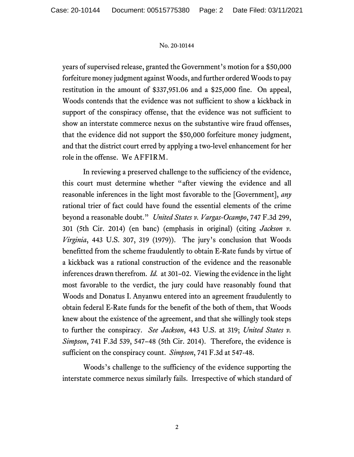## No. 20-10144

years of supervised release, granted the Government's motion for a \$50,000 forfeiture money judgment against Woods, and further ordered Woods to pay restitution in the amount of \$337,951.06 and a \$25,000 fine. On appeal, Woods contends that the evidence was not sufficient to show a kickback in support of the conspiracy offense, that the evidence was not sufficient to show an interstate commerce nexus on the substantive wire fraud offenses, that the evidence did not support the \$50,000 forfeiture money judgment, and that the district court erred by applying a two-level enhancement for her role in the offense. We AFFIRM.

In reviewing a preserved challenge to the sufficiency of the evidence, this court must determine whether "after viewing the evidence and all reasonable inferences in the light most favorable to the [Government], *any* rational trier of fact could have found the essential elements of the crime beyond a reasonable doubt." *United States v. Vargas-Ocampo*, 747 F.3d 299, 301 (5th Cir. 2014) (en banc) (emphasis in original) (citing *Jackson v. Virginia*, 443 U.S. 307, 319 (1979)). The jury's conclusion that Woods benefitted from the scheme fraudulently to obtain E-Rate funds by virtue of a kickback was a rational construction of the evidence and the reasonable inferences drawn therefrom. *Id.* at 301–02. Viewing the evidence in the light most favorable to the verdict, the jury could have reasonably found that Woods and Donatus I. Anyanwu entered into an agreement fraudulently to obtain federal E-Rate funds for the benefit of the both of them, that Woods knew about the existence of the agreement, and that she willingly took steps to further the conspiracy. *See Jackson*, 443 U.S. at 319; *United States v. Simpson*, 741 F.3d 539, 547–48 (5th Cir. 2014). Therefore, the evidence is sufficient on the conspiracy count. *Simpson*, 741 F.3d at 547-48.

Woods's challenge to the sufficiency of the evidence supporting the interstate commerce nexus similarly fails. Irrespective of which standard of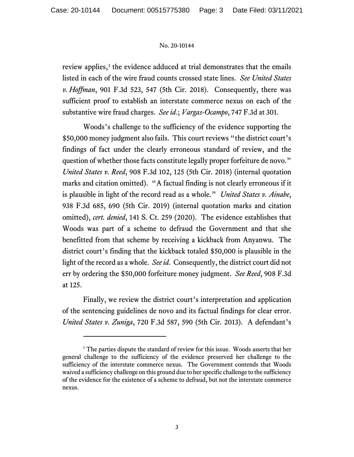## No. 20-10144

review applies, $<sup>1</sup>$  $<sup>1</sup>$  $<sup>1</sup>$  the evidence adduced at trial demonstrates that the emails</sup> listed in each of the wire fraud counts crossed state lines. *See United States v. Hoffman*, 901 F.3d 523, 547 (5th Cir. 2018). Consequently, there was sufficient proof to establish an interstate commerce nexus on each of the substantive wire fraud charges. *See id*.; *Vargas-Ocampo*, 747 F.3d at 301.

Woods's challenge to the sufficiency of the evidence supporting the \$50,000 money judgment also fails. This court reviews "the district court's findings of fact under the clearly erroneous standard of review, and the question of whether those facts constitute legally proper forfeiture de novo." *United States v. Reed*, 908 F.3d 102, 125 (5th Cir. 2018) (internal quotation marks and citation omitted). "A factual finding is not clearly erroneous if it is plausible in light of the record read as a whole." *United States v. Ainabe*, 938 F.3d 685, 690 (5th Cir. 2019) (internal quotation marks and citation omitted), *cert. denied*, 141 S. Ct. 259 (2020). The evidence establishes that Woods was part of a scheme to defraud the Government and that she benefitted from that scheme by receiving a kickback from Anyanwu. The district court's finding that the kickback totaled \$50,000 is plausible in the light of the record as a whole. *See id*. Consequently, the district court did not err by ordering the \$50,000 forfeiture money judgment. *See Reed*, 908 F.3d at 125.

Finally, we review the district court's interpretation and application of the sentencing guidelines de novo and its factual findings for clear error. *United States v. Zuniga*, 720 F.3d 587, 590 (5th Cir. 2013). A defendant's

<span id="page-2-0"></span><sup>&</sup>lt;sup>1</sup> The parties dispute the standard of review for this issue. Woods asserts that her general challenge to the sufficiency of the evidence preserved her challenge to the sufficiency of the interstate commerce nexus. The Government contends that Woods waived a sufficiency challenge on this ground due to her specific challenge to the sufficiency of the evidence for the existence of a scheme to defraud, but not the interstate commerce nexus.